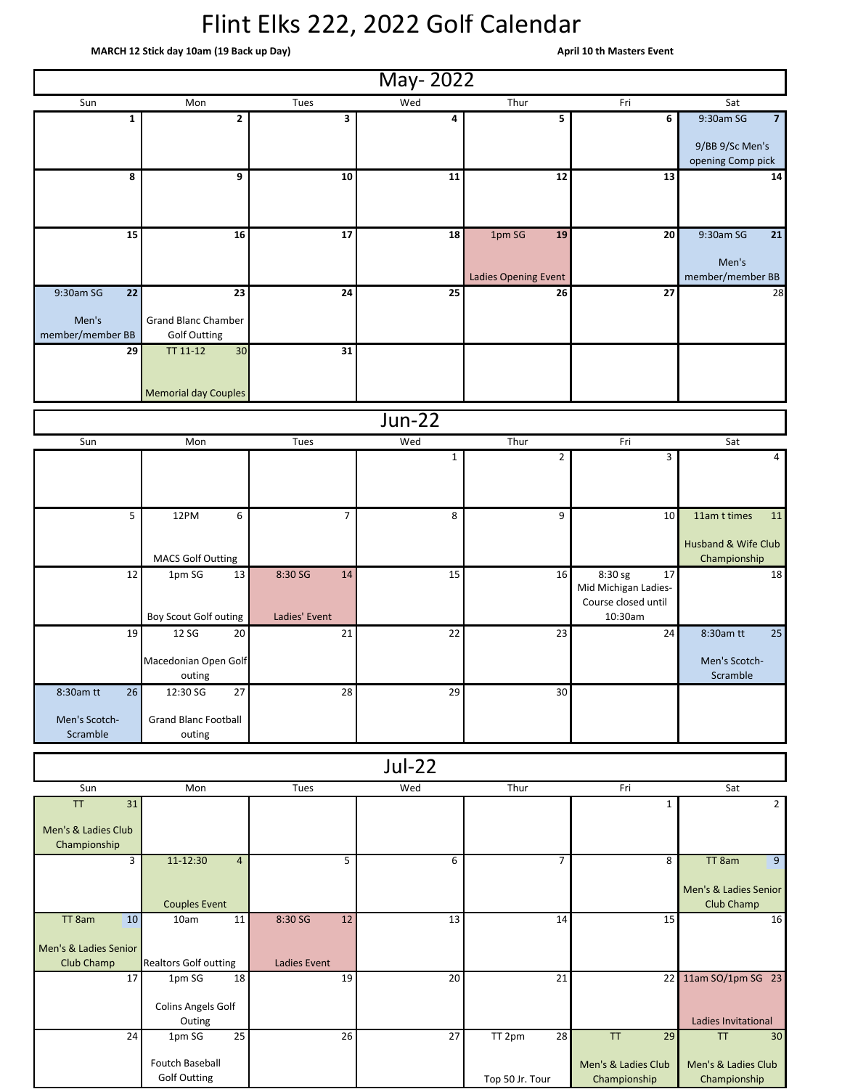## Flint Elks 222, 2022 Golf Calendar

 **MARCH 12 Stick day 10am (19 Back up Day) April 10 th Masters Event** 

|                                     |                                                   |                    | May-2022       |                      |                                                        |                                            |
|-------------------------------------|---------------------------------------------------|--------------------|----------------|----------------------|--------------------------------------------------------|--------------------------------------------|
| Sun                                 | Mon                                               | Tues               | Wed            | Thur                 | Fri                                                    | Sat                                        |
| 1                                   | $\overline{2}$                                    | 3                  | 4              | 5                    | 6                                                      | 9:30am SG<br>$\overline{7}$                |
|                                     |                                                   |                    |                |                      |                                                        | 9/BB 9/Sc Men's<br>opening Comp pick       |
| 8                                   | 9                                                 | 10                 | 11             | 12                   | 13                                                     | 14                                         |
|                                     |                                                   |                    |                |                      |                                                        |                                            |
| 15                                  | 16                                                | 17                 | 18             | 1pm SG<br>19         | 20                                                     | 9:30am SG<br>21                            |
|                                     |                                                   |                    |                | Ladies Opening Event |                                                        | Men's<br>member/member BB                  |
| 9:30am SG<br>22                     | 23                                                | 24                 | 25             | 26                   | 27                                                     | 28                                         |
| Men's<br>member/member BB           | <b>Grand Blanc Chamber</b><br><b>Golf Outting</b> |                    |                |                      |                                                        |                                            |
| 29                                  | 30<br>TT 11-12                                    | 31                 |                |                      |                                                        |                                            |
|                                     | <b>Memorial day Couples</b>                       |                    |                |                      |                                                        |                                            |
|                                     |                                                   |                    | <b>Jun-22</b>  |                      |                                                        |                                            |
| Sun                                 | Mon                                               | Tues               | Wed            | Thur                 | Fri                                                    | Sat                                        |
|                                     |                                                   |                    | $\mathbf{1}$   | $\overline{2}$       | 3                                                      | $\overline{4}$                             |
|                                     |                                                   |                    |                |                      |                                                        |                                            |
| 5                                   | 12PM<br>6                                         | 7                  | 8 <sup>1</sup> | 9                    | 10                                                     | 11am t times<br>11                         |
|                                     | <b>MACS Golf Outting</b>                          |                    |                |                      |                                                        | Husband & Wife Club<br>Championship        |
| 12                                  | 13<br>1pm SG                                      | 8:30 SG<br>14      | 15             | 16                   | 8:30 sg<br>17                                          | 18                                         |
|                                     | Boy Scout Golf outing                             | Ladies' Event      |                |                      | Mid Michigan Ladies-<br>Course closed until<br>10:30am |                                            |
| 19                                  | 20<br>12 SG                                       | 21                 | 22             | 23                   | 24                                                     | 8:30am tt<br>25                            |
|                                     | Macedonian Open Golf<br>outing                    |                    |                |                      |                                                        | Men's Scotch-<br>Scramble                  |
| 8:30am tt<br>26                     | 27<br>12:30 SG                                    | 28                 | 29             | 30                   |                                                        |                                            |
| Men's Scotch-<br>Scramble           | <b>Grand Blanc Football</b><br>outing             |                    |                |                      |                                                        |                                            |
|                                     |                                                   |                    | $Jul-22$       |                      |                                                        |                                            |
| Sun                                 | Mon                                               | Tues               | Wed            | Thur                 | Fri                                                    | Sat                                        |
| TT<br>31                            |                                                   |                    |                |                      | 1                                                      | $2^{\circ}$                                |
| Men's & Ladies Club<br>Championship |                                                   |                    |                |                      |                                                        |                                            |
| $\overline{3}$                      | 11-12:30<br>$\overline{4}$                        | 5                  | 6              | $\overline{7}$       | 8                                                      | TT 8am<br>$\overline{9}$                   |
|                                     | <b>Couples Event</b>                              |                    |                |                      |                                                        | Men's & Ladies Senior<br><b>Club Champ</b> |
| TT 8am<br>10                        | 10am<br>11                                        | 8:30 SG<br>12      | 13             | 14                   | 15                                                     | 16                                         |
| Men's & Ladies Senior               |                                                   |                    |                |                      |                                                        |                                            |
| Club Champ<br>17                    | <b>Realtors Golf outting</b><br>18<br>1pm SG      | Ladies Event<br>19 | 20             | 21                   |                                                        | 22 11am SO/1pm SG 23                       |
|                                     | Colins Angels Golf                                |                    |                |                      |                                                        |                                            |
|                                     | Outing                                            |                    |                |                      |                                                        | Ladies Invitational                        |
| 24                                  | 25<br>1pm SG                                      | 26                 | 27             | TT 2pm<br>28         | <b>TT</b><br>29                                        | <b>TT</b><br>30                            |
|                                     | Foutch Baseball<br><b>Golf Outting</b>            |                    |                | Top 50 Jr. Tour      | Men's & Ladies Club<br>Championship                    | Men's & Ladies Club<br>Championship        |

Top 50 Jr. Tour

Championship

Championship